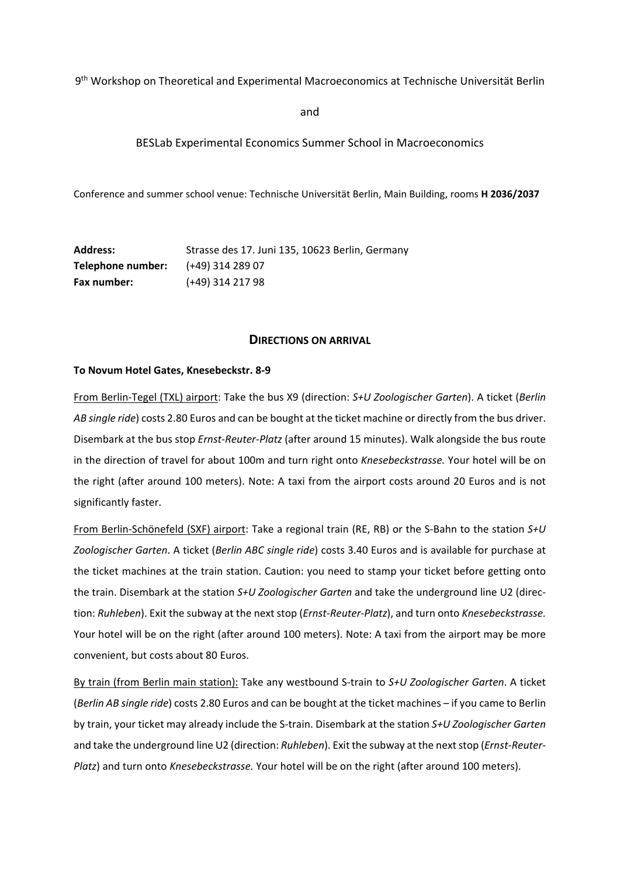9th Workshop on Theoretical and Experimental Macroeconomics at Technische Universität Berlin

and

## BESLab Experimental Economics Summer School in Macroeconomics

Conference and summer school venue: Technische Universität Berlin, Main Building, rooms **H 2036/2037**

| <b>Address:</b>    | Strasse des 17. Juni 135, 10623 Berlin, Germany |
|--------------------|-------------------------------------------------|
| Telephone number:  | (+49) 314 289 07                                |
| <b>Fax number:</b> | (+49) 314 217 98                                |

### **DIRECTIONS ON ARRIVAL**

#### **To Novum Hotel Gates, Knesebeckstr. 8‐9**

From Berlin‐Tegel (TXL) airport: Take the bus X9 (direction: *S+U Zoologischer Garten*). A ticket (*Berlin AB single ride*) costs 2.80 Euros and can be bought at the ticket machine or directly from the bus driver. Disembark at the bus stop *Ernst‐Reuter‐Platz* (after around 15 minutes). Walk alongside the bus route in the direction of travel for about 100m and turn right onto *Knesebeckstrasse.* Your hotel will be on the right (after around 100 meters). Note: A taxi from the airport costs around 20 Euros and is not significantly faster.

From Berlin‐Schönefeld (SXF) airport: Take a regional train (RE, RB) or the S‐Bahn to the station *S+U Zoologischer Garten*. A ticket (*Berlin ABC single ride*) costs 3.40 Euros and is available for purchase at the ticket machines at the train station. Caution: you need to stamp your ticket before getting onto the train. Disembark at the station *S+U Zoologischer Garten* and take the underground line U2 (direc‐ tion: *Ruhleben*). Exit the subway at the next stop (*Ernst‐Reuter‐Platz*), and turn onto *Knesebeckstrasse.* Your hotel will be on the right (after around 100 meters). Note: A taxi from the airport may be more convenient, but costs about 80 Euros.

By train (from Berlin main station): Take any westbound S‐train to *S+U Zoologischer Garten*. A ticket (*Berlin AB single ride*) costs 2.80 Euros and can be bought at the ticket machines – if you came to Berlin by train, your ticket may already include the S‐train. Disembark at the station *S+U Zoologischer Garten* and take the underground line U2 (direction: *Ruhleben*). Exit the subway at the nextstop (*Ernst‐Reuter‐ Platz*) and turn onto *Knesebeckstrasse.* Your hotel will be on the right (after around 100 meters).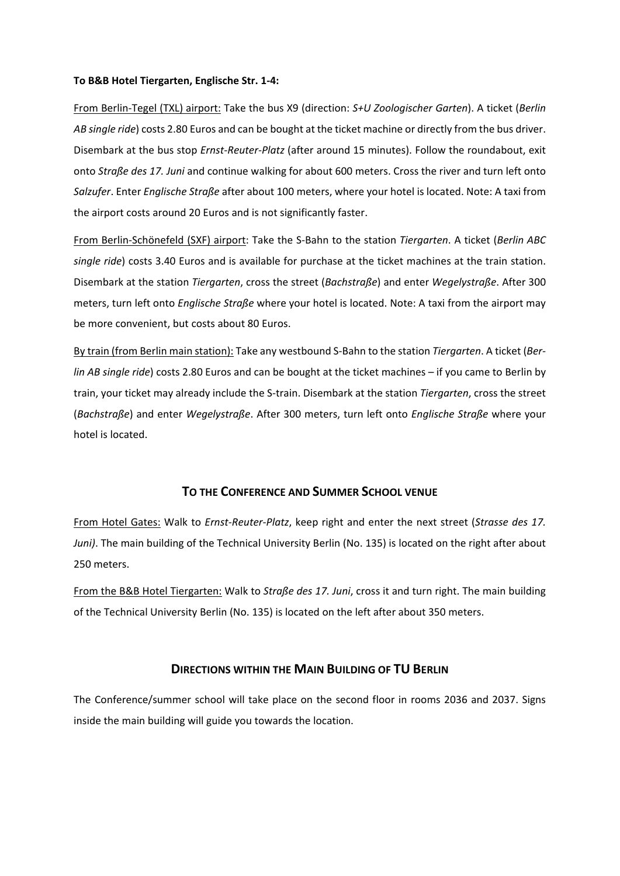### **To B&B Hotel Tiergarten, Englische Str. 1‐4:**

From Berlin‐Tegel (TXL) airport: Take the bus X9 (direction: *S+U Zoologischer Garten*). A ticket (*Berlin AB single ride*) costs 2.80 Euros and can be bought at the ticket machine or directly from the bus driver. Disembark at the bus stop *Ernst‐Reuter‐Platz* (after around 15 minutes). Follow the roundabout, exit onto *Straße des 17. Juni* and continue walking for about 600 meters. Cross the river and turn left onto *Salzufer*. Enter *Englische Straße* after about 100 meters, where your hotel is located. Note: A taxi from the airport costs around 20 Euros and is not significantly faster.

From Berlin‐Schönefeld (SXF) airport: Take the S‐Bahn to the station *Tiergarten*. A ticket (*Berlin ABC single ride*) costs 3.40 Euros and is available for purchase at the ticket machines at the train station. Disembark at the station *Tiergarten*, cross the street (*Bachstraße*) and enter *Wegelystraße*. After 300 meters, turn left onto *Englische Straße* where your hotel is located. Note: A taxi from the airport may be more convenient, but costs about 80 Euros.

By train (from Berlin main station): Take any westbound S‐Bahn to the station *Tiergarten*. A ticket (*Ber‐ lin AB single ride*) costs 2.80 Euros and can be bought at the ticket machines – if you came to Berlin by train, your ticket may already include the S‐train. Disembark at the station *Tiergarten*, cross the street (*Bachstraße*) and enter *Wegelystraße*. After 300 meters, turn left onto *Englische Straße* where your hotel is located.

# **TO THE CONFERENCE AND SUMMER SCHOOL VENUE**

From Hotel Gates: Walk to *Ernst‐Reuter‐Platz*, keep right and enter the next street (*Strasse des 17. Juni)*. The main building of the Technical University Berlin (No. 135) is located on the right after about 250 meters.

From the B&B Hotel Tiergarten: Walk to *Straße des 17. Juni*, cross it and turn right. The main building of the Technical University Berlin (No. 135) is located on the left after about 350 meters.

# **DIRECTIONS WITHIN THE MAIN BUILDING OF TU BERLIN**

The Conference/summer school will take place on the second floor in rooms 2036 and 2037. Signs inside the main building will guide you towards the location.